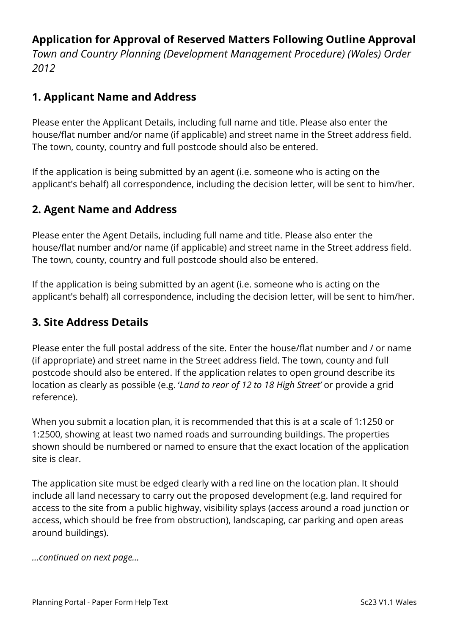# **Application for Approval of Reserved Matters Following Outline Approval**

*Town and Country Planning (Development Management Procedure) (Wales) Order 2012*

### **1. Applicant Name and Address**

Please enter the Applicant Details, including full name and title. Please also enter the house/flat number and/or name (if applicable) and street name in the Street address field. The town, county, country and full postcode should also be entered.

If the application is being submitted by an agent (i.e. someone who is acting on the applicant's behalf) all correspondence, including the decision letter, will be sent to him/her.

# **2. Agent Name and Address**

Please enter the Agent Details, including full name and title. Please also enter the house/flat number and/or name (if applicable) and street name in the Street address field. The town, county, country and full postcode should also be entered.

If the application is being submitted by an agent (i.e. someone who is acting on the applicant's behalf) all correspondence, including the decision letter, will be sent to him/her.

### **3. Site Address Details**

Please enter the full postal address of the site. Enter the house/flat number and / or name (if appropriate) and street name in the Street address field. The town, county and full postcode should also be entered. If the application relates to open ground describe its location as clearly as possible (e.g. '*Land to rear of 12 to 18 High Street'* or provide a grid reference).

When you submit a location plan, it is recommended that this is at a scale of 1:1250 or 1:2500, showing at least two named roads and surrounding buildings. The properties shown should be numbered or named to ensure that the exact location of the application site is clear.

The application site must be edged clearly with a red line on the location plan. It should include all land necessary to carry out the proposed development (e.g. land required for access to the site from a public highway, visibility splays (access around a road junction or access, which should be free from obstruction), landscaping, car parking and open areas around buildings).

*…continued on next page…*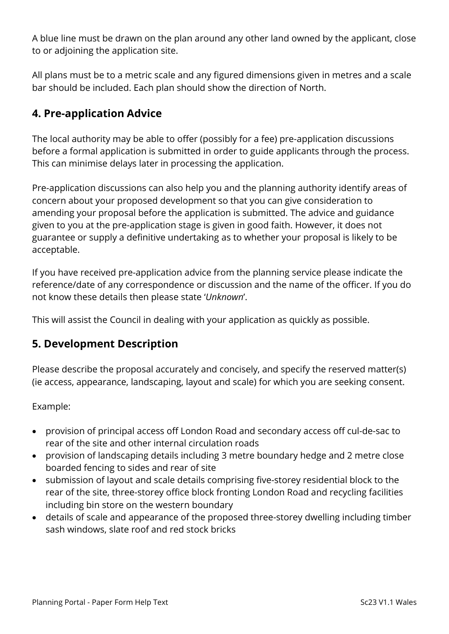A blue line must be drawn on the plan around any other land owned by the applicant, close to or adjoining the application site.

All plans must be to a metric scale and any figured dimensions given in metres and a scale bar should be included. Each plan should show the direction of North.

# **4. Pre-application Advice**

The local authority may be able to offer (possibly for a fee) pre-application discussions before a formal application is submitted in order to guide applicants through the process. This can minimise delays later in processing the application.

Pre-application discussions can also help you and the planning authority identify areas of concern about your proposed development so that you can give consideration to amending your proposal before the application is submitted. The advice and guidance given to you at the pre-application stage is given in good faith. However, it does not guarantee or supply a definitive undertaking as to whether your proposal is likely to be acceptable.

If you have received pre-application advice from the planning service please indicate the reference/date of any correspondence or discussion and the name of the officer. If you do not know these details then please state '*Unknown*'.

This will assist the Council in dealing with your application as quickly as possible.

### **5. Development Description**

Please describe the proposal accurately and concisely, and specify the reserved matter(s) (ie access, appearance, landscaping, layout and scale) for which you are seeking consent.

Example:

- provision of principal access off London Road and secondary access off cul-de-sac to rear of the site and other internal circulation roads
- provision of landscaping details including 3 metre boundary hedge and 2 metre close boarded fencing to sides and rear of site
- submission of layout and scale details comprising five-storey residential block to the rear of the site, three-storey office block fronting London Road and recycling facilities including bin store on the western boundary
- details of scale and appearance of the proposed three-storey dwelling including timber sash windows, slate roof and red stock bricks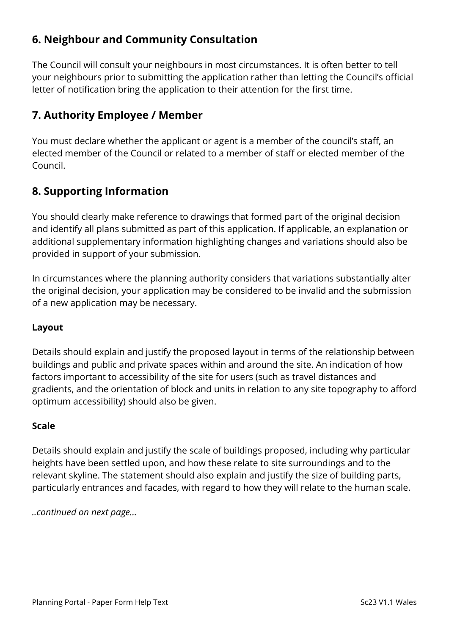# **6. Neighbour and Community Consultation**

The Council will consult your neighbours in most circumstances. It is often better to tell your neighbours prior to submitting the application rather than letting the Council's official letter of notification bring the application to their attention for the first time.

### **7. Authority Employee / Member**

You must declare whether the applicant or agent is a member of the council's staff, an elected member of the Council or related to a member of staff or elected member of the Council.

# **8. Supporting Information**

You should clearly make reference to drawings that formed part of the original decision and identify all plans submitted as part of this application. If applicable, an explanation or additional supplementary information highlighting changes and variations should also be provided in support of your submission.

In circumstances where the planning authority considers that variations substantially alter the original decision, your application may be considered to be invalid and the submission of a new application may be necessary.

#### **Layout**

Details should explain and justify the proposed layout in terms of the relationship between buildings and public and private spaces within and around the site. An indication of how factors important to accessibility of the site for users (such as travel distances and gradients, and the orientation of block and units in relation to any site topography to afford optimum accessibility) should also be given.

#### **Scale**

Details should explain and justify the scale of buildings proposed, including why particular heights have been settled upon, and how these relate to site surroundings and to the relevant skyline. The statement should also explain and justify the size of building parts, particularly entrances and facades, with regard to how they will relate to the human scale.

*..continued on next page…*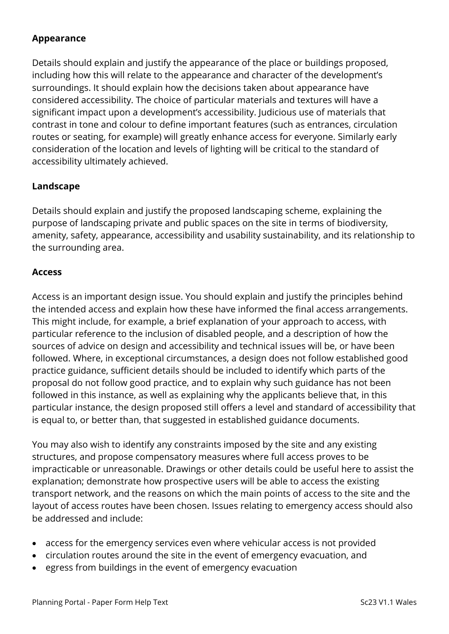#### **Appearance**

Details should explain and justify the appearance of the place or buildings proposed, including how this will relate to the appearance and character of the development's surroundings. It should explain how the decisions taken about appearance have considered accessibility. The choice of particular materials and textures will have a significant impact upon a development's accessibility. Judicious use of materials that contrast in tone and colour to define important features (such as entrances, circulation routes or seating, for example) will greatly enhance access for everyone. Similarly early consideration of the location and levels of lighting will be critical to the standard of accessibility ultimately achieved.

#### **Landscape**

Details should explain and justify the proposed landscaping scheme, explaining the purpose of landscaping private and public spaces on the site in terms of biodiversity, amenity, safety, appearance, accessibility and usability sustainability, and its relationship to the surrounding area.

#### **Access**

Access is an important design issue. You should explain and justify the principles behind the intended access and explain how these have informed the final access arrangements. This might include, for example, a brief explanation of your approach to access, with particular reference to the inclusion of disabled people, and a description of how the sources of advice on design and accessibility and technical issues will be, or have been followed. Where, in exceptional circumstances, a design does not follow established good practice guidance, sufficient details should be included to identify which parts of the proposal do not follow good practice, and to explain why such guidance has not been followed in this instance, as well as explaining why the applicants believe that, in this particular instance, the design proposed still offers a level and standard of accessibility that is equal to, or better than, that suggested in established guidance documents.

You may also wish to identify any constraints imposed by the site and any existing structures, and propose compensatory measures where full access proves to be impracticable or unreasonable. Drawings or other details could be useful here to assist the explanation; demonstrate how prospective users will be able to access the existing transport network, and the reasons on which the main points of access to the site and the layout of access routes have been chosen. Issues relating to emergency access should also be addressed and include:

- access for the emergency services even where vehicular access is not provided
- circulation routes around the site in the event of emergency evacuation, and
- egress from buildings in the event of emergency evacuation